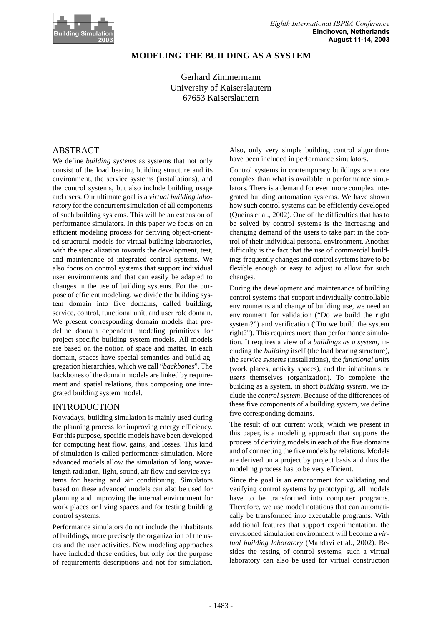

# **MODELING THE BUILDING AS A SYSTEM**

Gerhard Zimmermann University of Kaiserslautern 67653 Kaiserslautern

# ABSTRACT

We define *building systems* as systems that not only consist of the load bearing building structure and its environment, the service systems (installations), and the control systems, but also include building usage and users. Our ultimate goal is a *virtual building laboratory* for the concurrent simulation of all components of such building systems. This will be an extension of performance simulators. In this paper we focus on an efficient modeling process for deriving object-oriented structural models for virtual building laboratories, with the specialization towards the development, test, and maintenance of integrated control systems. We also focus on control systems that support individual user environments and that can easily be adapted to changes in the use of building systems. For the purpose of efficient modeling, we divide the building system domain into five domains, called building, service, control, functional unit, and user role domain. We present corresponding domain models that predefine domain dependent modeling primitives for project specific building system models. All models are based on the notion of space and matter. In each domain, spaces have special semantics and build aggregation hierarchies, which we call "*backbones*". The backbones of the domain models are linked by requirement and spatial relations, thus composing one integrated building system model.

#### INTRODUCTION

Nowadays, building simulation is mainly used during the planning process for improving energy efficiency. For this purpose, specific models have been developed for computing heat flow, gains, and losses. This kind of simulation is called performance simulation. More advanced models allow the simulation of long wavelength radiation, light, sound, air flow and service systems for heating and air conditioning. Simulators based on these advanced models can also be used for planning and improving the internal environment for work places or living spaces and for testing building control systems.

Performance simulators do not include the inhabitants of buildings, more precisely the organization of the users and the user activities. New modeling approaches have included these entities, but only for the purpose of requirements descriptions and not for simulation. Also, only very simple building control algorithms have been included in performance simulators.

Control systems in contemporary buildings are more complex than what is available in performance simulators. There is a demand for even more complex integrated building automation systems. We have shown how such control systems can be efficiently developed (Queins et al., 2002). One of the difficulties that has to be solved by control systems is the increasing and changing demand of the users to take part in the control of their individual personal environment. Another difficulty is the fact that the use of commercial buildings frequently changes and control systems have to be flexible enough or easy to adjust to allow for such changes.

During the development and maintenance of building control systems that support individually controllable environments and change of building use, we need an environment for validation ("Do we build the right system?") and verification ("Do we build the system right?"). This requires more than performance simulation. It requires a view of a *buildings as a system,* including the *building* itself (the load bearing structure), the *service systems* (installations), the *functional units* (work places, activity spaces), and the inhabitants or *users* themselves (organization). To complete the building as a system, in short *building system*, we include the *control system*. Because of the differences of these five components of a building system, we define five corresponding domains.

The result of our current work, which we present in this paper, is a modeling approach that supports the process of deriving models in each of the five domains and of connecting the five models by relations. Models are derived on a project by project basis and thus the modeling process has to be very efficient.

Since the goal is an environment for validating and verifying control systems by prototyping, all models have to be transformed into computer programs. Therefore, we use model notations that can automatically be transformed into executable programs. With additional features that support experimentation, the envisioned simulation environment will become a *virtual building laboratory* (Mahdavi et al., 2002). Besides the testing of control systems, such a virtual laboratory can also be used for virtual construction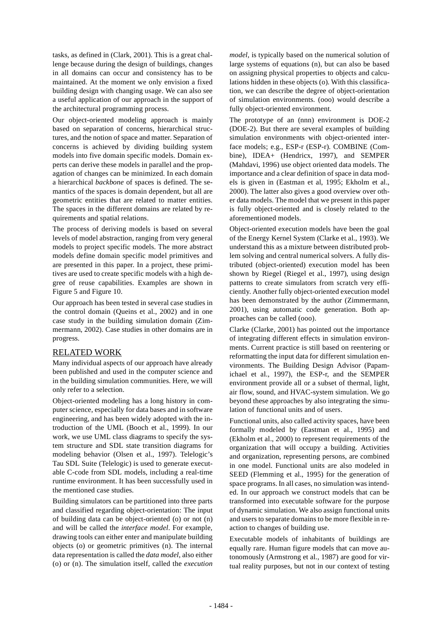tasks, as defined in (Clark, 2001). This is a great challenge because during the design of buildings, changes in all domains can occur and consistency has to be maintained. At the moment we only envision a fixed building design with changing usage. We can also see a useful application of our approach in the support of the architectural programming process.

Our object-oriented modeling approach is mainly based on separation of concerns, hierarchical structures, and the notion of space and matter. Separation of concerns is achieved by dividing building system models into five domain specific models. Domain experts can derive these models in parallel and the propagation of changes can be minimized. In each domain a hierarchical *backbone* of spaces is defined. The semantics of the spaces is domain dependent, but all are geometric entities that are related to matter entities. The spaces in the different domains are related by requirements and spatial relations.

The process of deriving models is based on several levels of model abstraction, ranging from very general models to project specific models. The more abstract models define domain specific model primitives and are presented in this paper. In a project, these primitives are used to create specific models with a high degree of reuse capabilities. Examples are shown in Figure 5 and Figure 10.

Our approach has been tested in several case studies in the control domain (Queins et al., 2002) and in one case study in the building simulation domain (Zimmermann, 2002). Case studies in other domains are in progress.

#### RELATED WORK

Many individual aspects of our approach have already been published and used in the computer science and in the building simulation communities. Here, we will only refer to a selection.

Object-oriented modeling has a long history in computer science, especially for data bases and in software engineering, and has been widely adopted with the introduction of the UML (Booch et al., 1999). In our work, we use UML class diagrams to specify the system structure and SDL state transition diagrams for modeling behavior (Olsen et al., 1997). Telelogic's Tau SDL Suite (Telelogic) is used to generate executable C-code from SDL models, including a real-time runtime environment. It has been successfully used in the mentioned case studies.

Building simulators can be partitioned into three parts and classified regarding object-orientation: The input of building data can be object-oriented (o) or not (n) and will be called the *interface model*. For example, drawing tools can either enter and manipulate building objects (o) or geometric primitives (n). The internal data representation is called the *data model*, also either (o) or (n). The simulation itself, called the *execution* *model,* is typically based on the numerical solution of large systems of equations (n), but can also be based on assigning physical properties to objects and calculations hidden in these objects (o). With this classification, we can describe the degree of object-orientation of simulation environments. (ooo) would describe a fully object-oriented environment.

The prototype of an (nnn) environment is DOE-2 (DOE-2). But there are several examples of building simulation environments with object-oriented interface models; e.g., ESP-r (ESP-r). COMBINE (Combine), IDEA+ (Hendricx, 1997), and SEMPER (Mahdavi, 1996) use object oriented data models. The importance and a clear definition of space in data models is given in (Eastman et al, 1995; Ekholm et al., 2000). The latter also gives a good overview over other data models. The model that we present in this paper is fully object-oriented and is closely related to the aforementioned models.

Object-oriented execution models have been the goal of the Energy Kernel System (Clarke et al., 1993). We understand this as a mixture between distributed problem solving and central numerical solvers. A fully distributed (object-oriented) execution model has been shown by Riegel (Riegel et al., 1997), using design patterns to create simulators from scratch very efficiently. Another fully object-oriented execution model has been demonstrated by the author (Zimmermann, 2001), using automatic code generation. Both approaches can be called (ooo).

Clarke (Clarke, 2001) has pointed out the importance of integrating different effects in simulation environments. Current practice is still based on reentering or reformatting the input data for different simulation environments. The Building Design Advisor (Papamichael et al., 1997), the ESP-r, and the SEMPER environment provide all or a subset of thermal, light, air flow, sound, and HVAC-system simulation. We go beyond these approaches by also integrating the simulation of functional units and of users.

Functional units, also called activity spaces, have been formally modeled by (Eastman et al., 1995) and (Ekholm et al., 2000) to represent requirements of the organization that will occupy a building. Activities and organization, representing persons, are combined in one model. Functional units are also modeled in SEED (Flemming et al., 1995) for the generation of space programs. In all cases, no simulation was intended. In our approach we construct models that can be transformed into executable software for the purpose of dynamic simulation. We also assign functional units and users to separate domains to be more flexible in reaction to changes of building use.

Executable models of inhabitants of buildings are equally rare. Human figure models that can move autonomously (Armstrong et al., 1987) are good for virtual reality purposes, but not in our context of testing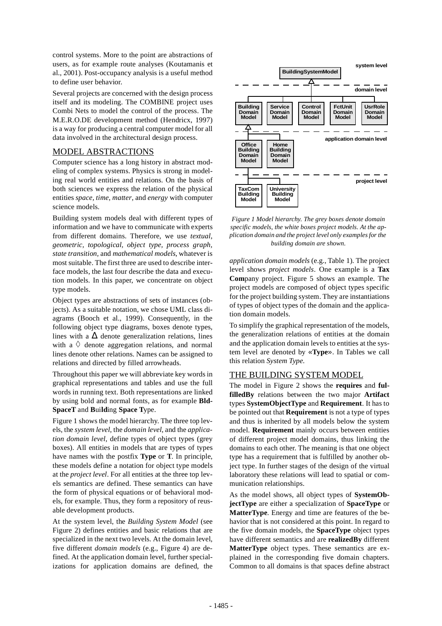control systems. More to the point are abstractions of users, as for example route analyses (Koutamanis et al., 2001). Post-occupancy analysis is a useful method to define user behavior.

Several projects are concerned with the design process itself and its modeling. The COMBINE project uses Combi Nets to model the control of the process. The M.E.R.O.DE development method (Hendricx, 1997) is a way for producing a central computer model for all data involved in the architectural design process.

## MODEL ABSTRACTIONS

Computer science has a long history in abstract modeling of complex systems. Physics is strong in modeling real world entities and relations. On the basis of both sciences we express the relation of the physical entities *space, time, matter,* and *energy* with computer science models.

Building system models deal with different types of information and we have to communicate with experts from different domains. Therefore, we use *textual*, *geometric, topological, object type, process graph, state transition,* and *mathematical models*, whatever is most suitable. The first three are used to describe interface models, the last four describe the data and execution models. In this paper, we concentrate on object type models.

Object types are abstractions of sets of instances (objects). As a suitable notation, we chose UML class diagrams (Booch et al., 1999). Consequently, in the following object type diagrams, boxes denote types, lines with a  $\Delta$  denote generalization relations, lines with a  $\Diamond$  denote aggregation relations, and normal lines denote other relations. Names can be assigned to relations and directed by filled arrowheads.

Throughout this paper we will abbreviate key words in graphical representations and tables and use the full words in running text. Both representations are linked by using bold and normal fonts, as for example **Bld-SpaceT** and **B**ui**ld**ing **Space T**ype.

Figure 1 shows the model hierarchy. The three top levels, the *system level*, the *domain level*, and the *application domain level*, define types of object types (grey boxes). All entities in models that are types of types have names with the postfix **Type** or **T**. In principle, these models define a notation for object type models at the *project level*. For all entities at the three top levels semantics are defined. These semantics can have the form of physical equations or of behavioral models, for example. Thus, they form a repository of reusable development products.

At the system level, the *Building System Model* (see Figure 2) defines entities and basic relations that are specialized in the next two levels. At the domain level, five different *domain models* (e.g., Figure 4) are defined. At the application domain level, further specializations for application domains are defined, the



*Figure 1 Model hierarchy. The grey boxes denote domain specific models, the white boxes project models. At the application domain and the project level only examples for the building domain are shown.*

*application domain models* (e.g., Table 1). The project level shows *project models*. One example is a **Tax Com**pany project. Figure 5 shows an example. The project models are composed of object types specific for the project building system. They are instantiations of types of object types of the domain and the application domain models.

To simplify the graphical representation of the models, the generalization relations of entities at the domain and the application domain levels to entities at the system level are denoted by «**Type**». In Tables we call this relation *System Type*.

# THE BUILDING SYSTEM MODEL

The model in Figure 2 shows the **requires** and **fulfilledBy** relations between the two major **Artifact** types **SystemObjectType** and **Requirement**. It has to be pointed out that **Requirement** is not a type of types and thus is inherited by all models below the system model. **Requirement** mainly occurs between entities of different project model domains, thus linking the domains to each other. The meaning is that one object type has a requirement that is fulfilled by another object type. In further stages of the design of the virtual laboratory these relations will lead to spatial or communication relationships.

As the model shows, all object types of **SystemObjectType** are either a specialization of **SpaceType** or **MatterType**. Energy and time are features of the behavior that is not considered at this point. In regard to the five domain models, the **SpaceType** object types have different semantics and are **realizedBy** different **MatterType** object types. These semantics are explained in the corresponding five domain chapters. Common to all domains is that spaces define abstract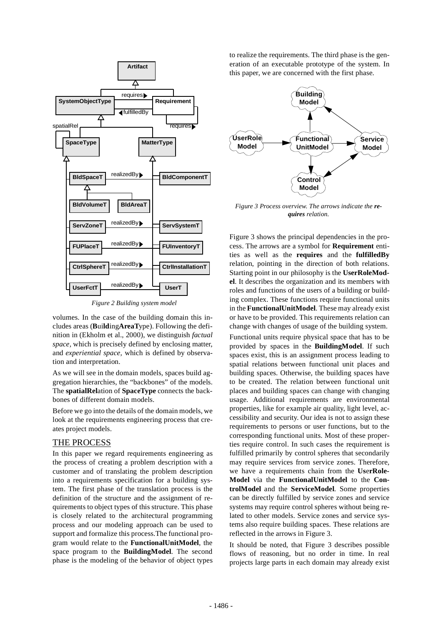

*Figure 2 Building system model*

volumes. In the case of the building domain this includes areas (**B**ui**ld**ing**AreaT**ype). Following the definition in (Ekholm et al., 2000), we distinguish *factual space,* which is precisely defined by enclosing matter, and *experiential space,* which is defined by observation and interpretation.

As we will see in the domain models, spaces build aggregation hierarchies, the "backbones" of the models. The **spatialRel**ation of **SpaceType** connects the backbones of different domain models.

Before we go into the details of the domain models, we look at the requirements engineering process that creates project models.

## THE PROCESS

In this paper we regard requirements engineering as the process of creating a problem description with a customer and of translating the problem description into a requirements specification for a building system. The first phase of the translation process is the definition of the structure and the assignment of requirements to object types of this structure. This phase is closely related to the architectural programming process and our modeling approach can be used to support and formalize this process.The functional program would relate to the **FunctionalUnitModel**, the space program to the **BuildingModel**. The second phase is the modeling of the behavior of object types to realize the requirements. The third phase is the generation of an executable prototype of the system. In this paper, we are concerned with the first phase.



*Figure 3 Process overview. The arrows indicate the requires relation.*

Figure 3 shows the principal dependencies in the process. The arrows are a symbol for **Requirement** entities as well as the **requires** and the **fulfilledBy** relation, pointing in the direction of both relations. Starting point in our philosophy is the **UserRoleModel**. It describes the organization and its members with roles and functions of the users of a building or building complex. These functions require functional units in the **FunctionalUnitModel**. These may already exist or have to be provided. This requirements relation can change with changes of usage of the building system. Functional units require physical space that has to be provided by spaces in the **BuildingModel**. If such spaces exist, this is an assignment process leading to spatial relations between functional unit places and building spaces. Otherwise, the building spaces have to be created. The relation between functional unit places and building spaces can change with changing usage. Additional requirements are environmental properties, like for example air quality, light level, accessibility and security. Our idea is not to assign these requirements to persons or user functions, but to the corresponding functional units. Most of these properties require control. In such cases the requirement is fulfilled primarily by control spheres that secondarily may require services from service zones. Therefore, we have a requirements chain from the **Us**e**rRole-Model** via the **FunctionalUnitModel** to the **ControlModel** and the **ServiceModel**. Some properties can be directly fulfilled by service zones and service systems may require control spheres without being related to other models. Service zones and service systems also require building spaces. These relations are reflected in the arrows in Figure 3.

It should be noted, that Figure 3 describes possible flows of reasoning, but no order in time. In real projects large parts in each domain may already exist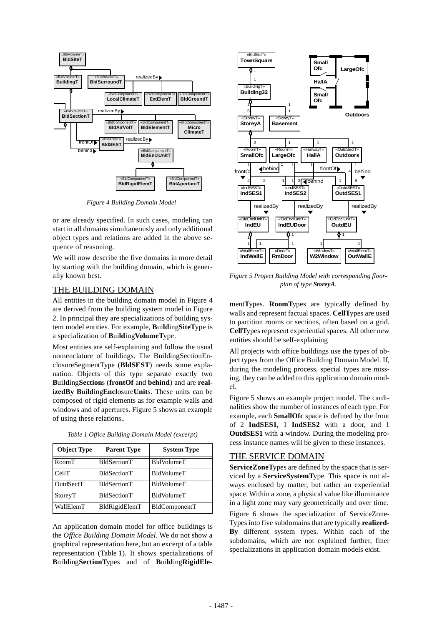

*Figure 4 Building Domain Model*

or are already specified. In such cases, modeling can start in all domains simultaneously and only additional object types and relations are added in the above sequence of reasoning.

We will now describe the five domains in more detail by starting with the building domain, which is generally known best.

#### THE BUILDING DOMAIN

All entities in the building domain model in Figure 4 are derived from the building system model in Figure 2. In principal they are specializations of building system model entities. For example, **B**ui**ld**ing**SiteT**ype is a specialization of **B**ui**ld**ing**VolumeT**ype.

Most entities are self-explaining and follow the usual nomenclature of buildings. The BuildingSectionEnclosureSegmentType (**BldSEST**) needs some explanation. Objects of this type separate exactly two **B**ui**ld**ing**Section**s (**frontOf** and **behind**) and are **realizedBy B**ui**ld**ing**Encl**osure**Unit**s. These units can be composed of rigid elements as for example walls and windows and of apertures. Figure 5 shows an example of using these relations..

| <b>Object Type</b> | <b>Parent Type</b> | <b>System Type</b> |
|--------------------|--------------------|--------------------|
| RoomT              | BldSectionT        | <b>BldVolumeT</b>  |
| CellT              | <b>BldSectionT</b> | BldVolumeT         |
| OutdSectT          | BldSectionT        | BldVolumeT         |
| StoreyT            | BldSectionT        | <b>BldVolumeT</b>  |
| WallElemT          | BldRigidElemT      | BldComponentT      |

*Table 1 Office Building Domain Model (excerpt)*

An application domain model for office buildings is the *Office Building Domain Model*. We do not show a graphical representation here, but an excerpt of a table representation (Table 1). It shows specializations of **B**ui**ld**ing**SectionT**ypes and of **B**ui**ld**ing**RigidEle-**



*Figure 5 Project Building Model with corresponding floorplan of type StoreyA.*

**m**ent**T**ypes. **RoomT**ypes are typically defined by walls and represent factual spaces. **CellT**ypes are used to partition rooms or sections, often based on a grid. **CellT**ypes represent experiential spaces. All other new entities should be self-explaining

All projects with office buildings use the types of object types from the Office Building Domain Model. If, during the modeling process, special types are missing, they can be added to this application domain model.

Figure 5 shows an example project model. The cardinalities show the number of instances of each type. For example, each **SmallOfc** space is defined by the front of 2 **IndSES1**, 1 **IndSES2** with a door, and 1 **OutdSES1** with a window. During the modeling process instance names will be given to these instances.

#### THE SERVICE DOMAIN

**ServiceZoneT**ypes are defined by the space that is serviced by a **ServiceSystemT**ype. This space is not always enclosed by matter, but rather an experiential space. Within a zone, a physical value like illuminance in a light zone may vary geometrically and over time.

Figure 6 shows the specialization of ServiceZone-Types into five subdomains that are typically **realized-By** different system types. Within each of the subdomains, which are not explained further, finer specializations in application domain models exist.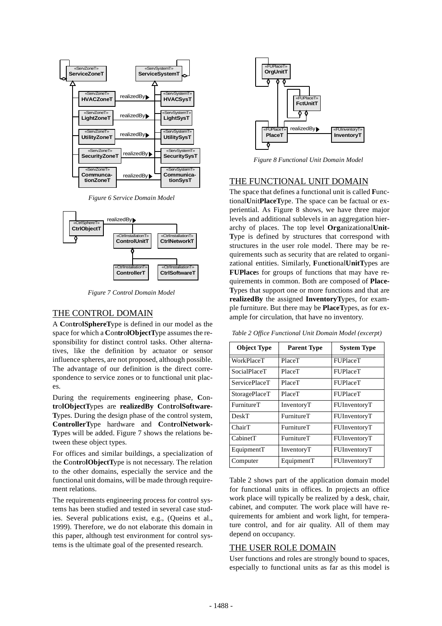

*Figure 6 Service Domain Model*



*Figure 7 Control Domain Model*

## THE CONTROL DOMAIN

A **C**on**tr**o**lSphereT**ype is defined in our model as the space for which a **C**on**tr**o**lObjectT**ype assumes the responsibility for distinct control tasks. Other alternatives, like the definition by actuator or sensor influence spheres, are not proposed, although possible. The advantage of our definition is the direct correspondence to service zones or to functional unit places.

During the requirements engineering phase, **C**on**tr**o**lObjectT**ypes are **realizedBy C**on**tr**o**lSoftware-T**ypes. During the design phase of the control system, **ControllerT**ype hardware and **C**on**tr**o**lNetwork-T**ypes will be added. Figure 7 shows the relations between these object types.

For offices and similar buildings, a specialization of the **C**on**tr**o**lObjectT**ype is not necessary. The relation to the other domains, especially the service and the functional unit domains, will be made through requirement relations.

The requirements engineering process for control systems has been studied and tested in several case studies. Several publications exist, e.g., (Queins et al., 1999). Therefore, we do not elaborate this domain in this paper, although test environment for control systems is the ultimate goal of the presented research.



*Figure 8 Functional Unit Domain Model*

# THE FUNCTIONAL UNIT DOMAIN

The space that defines a functional unit is called **F**unctional**U**nit**PlaceT**ype. The space can be factual or experiential. As Figure 8 shows, we have three major levels and additional sublevels in an aggregation hierarchy of places. The top level **Org**anizational**Unit-T**ype is defined by structures that correspond with structures in the user role model. There may be requirements such as security that are related to organizational entities. Similarly, **F**un**ct**ional**UnitT**ypes are **FUPlace**s for groups of functions that may have requirements in common. Both are composed of **Place-T**ypes that support one or more functions and that are **realizedBy** the assigned **InventoryT**ypes, for example furniture. But there may be **PlaceT**ypes, as for example for circulation, that have no inventory.

*Table 2 Office Functional Unit Domain Model (excerpt)*

| <b>Object Type</b>   | <b>Parent Type</b> | <b>System Type</b> |
|----------------------|--------------------|--------------------|
| <b>WorkPlaceT</b>    | PlaceT             | <b>FUPlaceT</b>    |
| SocialPlaceT         | PlaceT             | <b>FUPlaceT</b>    |
| <b>ServicePlaceT</b> | PlaceT             | <b>FUPlaceT</b>    |
| StoragePlaceT        | PlaceT             | FUPlaceT           |
| FurnitureT           | InventoryT         | FUInventoryT       |
| DeskT                | FurnitureT         | FUInventoryT       |
| ChairT               | FurnitureT         | FUInventoryT       |
| CabinetT             | FurnitureT         | FUInventoryT       |
| EquipmentT           | InventoryT         | FUInventoryT       |
| Computer             | EquipmentT         | FUInventoryT       |

Table 2 shows part of the application domain model for functional units in offices. In projects an office work place will typically be realized by a desk, chair, cabinet, and computer. The work place will have requirements for ambient and work light, for temperature control, and for air quality. All of them may depend on occupancy.

#### THE USER ROLE DOMAIN

User functions and roles are strongly bound to spaces, especially to functional units as far as this model is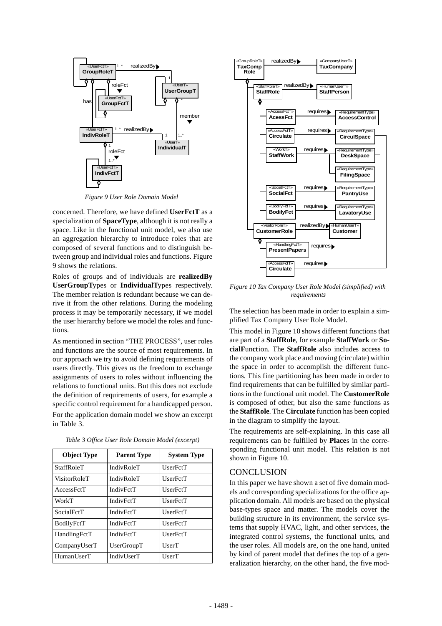

*Figure 9 User Role Domain Model*

concerned. Therefore, we have defined **UserFctT** as a specialization of **SpaceType**, although it is not really a space. Like in the functional unit model, we also use an aggregation hierarchy to introduce roles that are composed of several functions and to distinguish between group and individual roles and functions. Figure 9 shows the relations.

Roles of groups and of individuals are **realizedBy UserGroupT**ypes or **IndividualT**ypes respectively. The member relation is redundant because we can derive it from the other relations. During the modeling process it may be temporarily necessary, if we model the user hierarchy before we model the roles and functions.

As mentioned in section "THE PROCESS", user roles and functions are the source of most requirements. In our approach we try to avoid defining requirements of users directly. This gives us the freedom to exchange assignments of users to roles without influencing the relations to functional units. But this does not exclude the definition of requirements of users, for example a specific control requirement for a handicapped person.

For the application domain model we show an excerpt in Table 3.

| <b>Object Type</b> | <b>Parent Type</b> | <b>System Type</b> |
|--------------------|--------------------|--------------------|
| <b>StaffRoleT</b>  | IndivRoleT         | UserFctT           |
| VisitorRoleT       | IndivRoleT         | UserFctT           |
| AccessFctT         | <b>IndivFctT</b>   | UserFctT           |
| WorkT              | <b>IndivFctT</b>   | UserFctT           |
| SocialFctT         | IndivFctT          | UserFctT           |
| BodilyFctT         | <b>IndivFctT</b>   | <b>UserFctT</b>    |
| HandlingFctT       | IndivFctT          | UserFctT           |
| CompanyUserT       | UserGroupT         | UserT              |
| HumanUserT         | IndivUserT         | UserT              |

*Table 3 Office User Role Domain Model (excerpt)*



*Figure 10 Tax Company User Role Model (simplified) with requirements*

The selection has been made in order to explain a simplified Tax Company User Role Model.

This model in Figure 10 shows different functions that are part of a **StaffRole**, for example **StaffWork** or **SocialF**un**ct**ion. The **StaffRole** also includes access to the company work place and moving (circulate) within the space in order to accomplish the different functions. This fine partitioning has been made in order to find requirements that can be fulfilled by similar partitions in the functional unit model. The **CustomerRole** is composed of other, but also the same functions as the **StaffRole**. The **Circulate** function has been copied in the diagram to simplify the layout.

The requirements are self-explaining. In this case all requirements can be fulfilled by **Place**s in the corresponding functional unit model. This relation is not shown in Figure 10.

#### **CONCLUSION**

In this paper we have shown a set of five domain models and corresponding specializations for the office application domain. All models are based on the physical base-types space and matter. The models cover the building structure in its environment, the service systems that supply HVAC, light, and other services, the integrated control systems, the functional units, and the user roles. All models are, on the one hand, united by kind of parent model that defines the top of a generalization hierarchy, on the other hand, the five mod